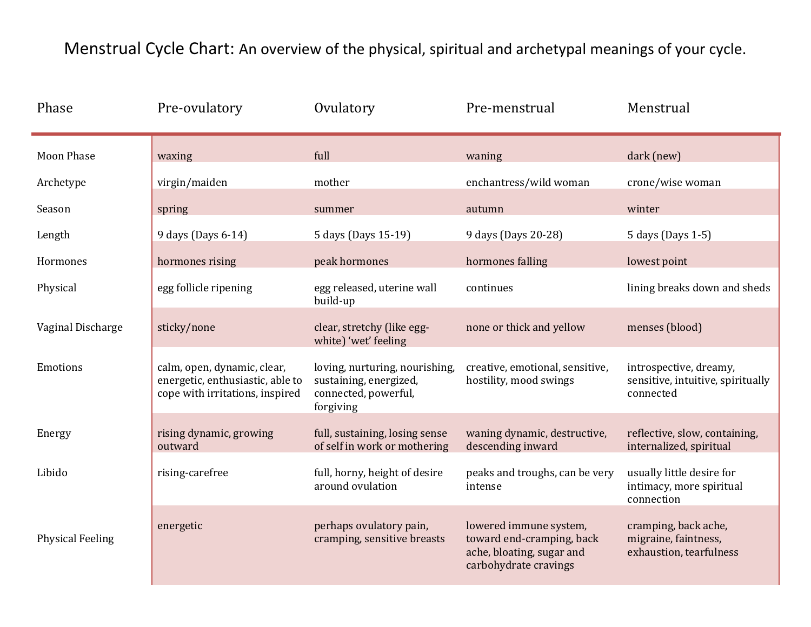## Menstrual Cycle Chart: An overview of the physical, spiritual and archetypal meanings of your cycle.

| Phase                   | Pre-ovulatory                                                                                      | Ovulatory                                                                                     | Pre-menstrual                                                                                             | Menstrual                                                                |
|-------------------------|----------------------------------------------------------------------------------------------------|-----------------------------------------------------------------------------------------------|-----------------------------------------------------------------------------------------------------------|--------------------------------------------------------------------------|
| <b>Moon Phase</b>       | waxing                                                                                             | full                                                                                          | waning                                                                                                    | dark (new)                                                               |
| Archetype               | virgin/maiden                                                                                      | mother                                                                                        | enchantress/wild woman                                                                                    | crone/wise woman                                                         |
| Season                  | spring                                                                                             | summer                                                                                        | autumn                                                                                                    | winter                                                                   |
| Length                  | 9 days (Days 6-14)                                                                                 | 5 days (Days 15-19)                                                                           | 9 days (Days 20-28)                                                                                       | 5 days (Days 1-5)                                                        |
| Hormones                | hormones rising                                                                                    | peak hormones                                                                                 | hormones falling                                                                                          | lowest point                                                             |
| Physical                | egg follicle ripening                                                                              | egg released, uterine wall<br>build-up                                                        | continues                                                                                                 | lining breaks down and sheds                                             |
| Vaginal Discharge       | sticky/none                                                                                        | clear, stretchy (like egg-<br>white) 'wet' feeling                                            | none or thick and yellow                                                                                  | menses (blood)                                                           |
| Emotions                | calm, open, dynamic, clear,<br>energetic, enthusiastic, able to<br>cope with irritations, inspired | loving, nurturing, nourishing,<br>sustaining, energized,<br>connected, powerful,<br>forgiving | creative, emotional, sensitive,<br>hostility, mood swings                                                 | introspective, dreamy,<br>sensitive, intuitive, spiritually<br>connected |
| Energy                  | rising dynamic, growing<br>outward                                                                 | full, sustaining, losing sense<br>of self in work or mothering                                | waning dynamic, destructive,<br>descending inward                                                         | reflective, slow, containing,<br>internalized, spiritual                 |
| Libido                  | rising-carefree                                                                                    | full, horny, height of desire<br>around ovulation                                             | peaks and troughs, can be very<br>intense                                                                 | usually little desire for<br>intimacy, more spiritual<br>connection      |
| <b>Physical Feeling</b> | energetic                                                                                          | perhaps ovulatory pain,<br>cramping, sensitive breasts                                        | lowered immune system,<br>toward end-cramping, back<br>ache, bloating, sugar and<br>carbohydrate cravings | cramping, back ache,<br>migraine, faintness,<br>exhaustion, tearfulness  |